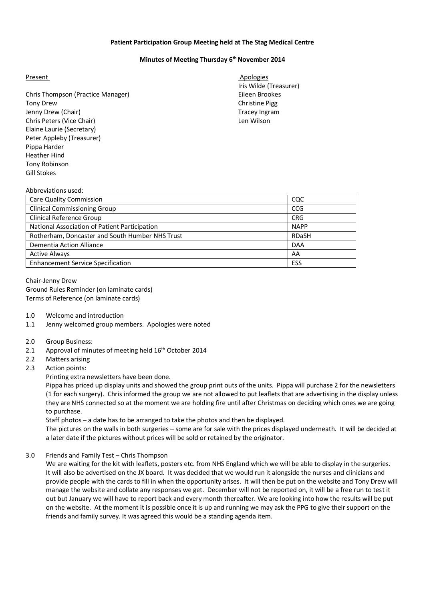#### **Patient Participation Group Meeting held at The Stag Medical Centre**

### **Minutes of Meeting Thursday 6 th November 2014**

Chris Thompson (Practice Manager) Eileen Brookes Tony Drew Christine Pigg Jenny Drew (Chair) **Tracey Ingram** Tracey Ingram Chris Peters (Vice Chair) Len Wilson Elaine Laurie (Secretary) Peter Appleby (Treasurer) Pippa Harder Heather Hind Tony Robinson Gill Stokes

Present Apologies Apologies Iris Wilde (Treasurer)

#### Abbreviations used:

| Care Quality Commission                         | coc          |
|-------------------------------------------------|--------------|
| <b>Clinical Commissioning Group</b>             | CCG          |
| <b>Clinical Reference Group</b>                 | <b>CRG</b>   |
| National Association of Patient Participation   | <b>NAPP</b>  |
| Rotherham, Doncaster and South Humber NHS Trust | <b>RDaSH</b> |
| Dementia Action Alliance                        | <b>DAA</b>   |
| <b>Active Always</b>                            | AA           |
| <b>Enhancement Service Specification</b>        | ESS          |

Chair-Jenny Drew Ground Rules Reminder (on laminate cards) Terms of Reference (on laminate cards)

- 1.0 Welcome and introduction
- 1.1 Jenny welcomed group members. Apologies were noted
- 2.0 Group Business:
- 2.1 Approval of minutes of meeting held  $16<sup>th</sup>$  October 2014
- 2.2 Matters arising
- 2.3 Action points:

Printing extra newsletters have been done.

Pippa has priced up display units and showed the group print outs of the units. Pippa will purchase 2 for the newsletters (1 for each surgery). Chris informed the group we are not allowed to put leaflets that are advertising in the display unless they are NHS connected so at the moment we are holding fire until after Christmas on deciding which ones we are going to purchase.

Staff photos – a date has to be arranged to take the photos and then be displayed.

The pictures on the walls in both surgeries – some are for sale with the prices displayed underneath. It will be decided at a later date if the pictures without prices will be sold or retained by the originator.

3.0 Friends and Family Test – Chris Thompson

We are waiting for the kit with leaflets, posters etc. from NHS England which we will be able to display in the surgeries. It will also be advertised on the JX board. It was decided that we would run it alongside the nurses and clinicians and provide people with the cards to fill in when the opportunity arises. It will then be put on the website and Tony Drew will manage the website and collate any responses we get. December will not be reported on, it will be a free run to test it out but January we will have to report back and every month thereafter. We are looking into how the results will be put on the website. At the moment it is possible once it is up and running we may ask the PPG to give their support on the friends and family survey. It was agreed this would be a standing agenda item.